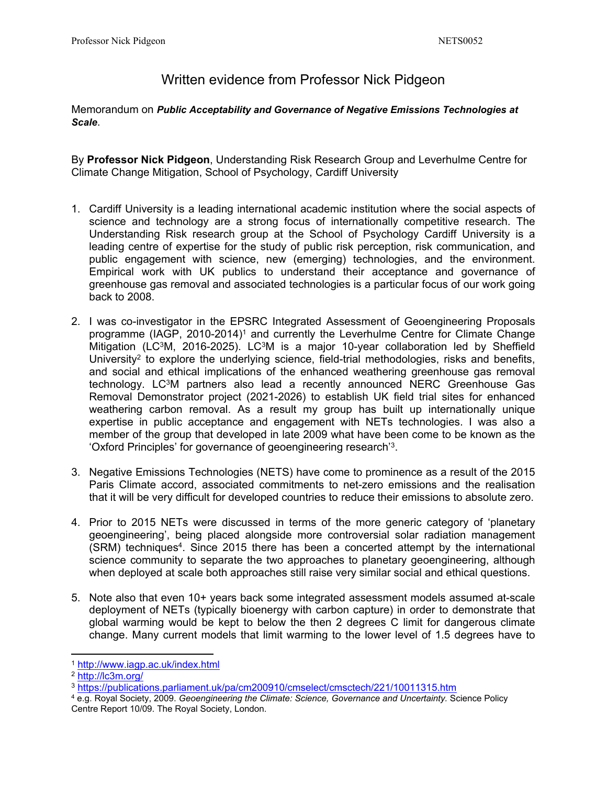## Written evidence from Professor Nick Pidgeon

Memorandum on *Public Acceptability and Governance of Negative Emissions Technologies at Scale*.

By **Professor Nick Pidgeon**, Understanding Risk Research Group and Leverhulme Centre for Climate Change Mitigation, School of Psychology, Cardiff University

- 1. Cardiff University is a leading international academic institution where the social aspects of science and technology are a strong focus of internationally competitive research. The Understanding Risk research group at the School of Psychology Cardiff University is a leading centre of expertise for the study of public risk perception, risk communication, and public engagement with science, new (emerging) technologies, and the environment. Empirical work with UK publics to understand their acceptance and governance of greenhouse gas removal and associated technologies is a particular focus of our work going back to 2008.
- 2. I was co-investigator in the EPSRC Integrated Assessment of Geoengineering Proposals programme (IAGP, 2010-2014)<sup>1</sup> and currently the Leverhulme Centre for Climate Change Mitigation (LC $3M$ , 2016-2025). LC $3M$  is a major 10-year collaboration led by Sheffield University<sup>2</sup> to explore the underlying science, field-trial methodologies, risks and benefits, and social and ethical implications of the enhanced weathering greenhouse gas removal technology. LC<sup>3</sup>M partners also lead a recently announced NERC Greenhouse Gas Removal Demonstrator project (2021-2026) to establish UK field trial sites for enhanced weathering carbon removal. As a result my group has built up internationally unique expertise in public acceptance and engagement with NETs technologies. I was also a member of the group that developed in late 2009 what have been come to be known as the 'Oxford Principles' for governance of geoengineering research'<sup>3</sup> .
- 3. Negative Emissions Technologies (NETS) have come to prominence as a result of the 2015 Paris Climate accord, associated commitments to net-zero emissions and the realisation that it will be very difficult for developed countries to reduce their emissions to absolute zero.
- 4. Prior to 2015 NETs were discussed in terms of the more generic category of 'planetary geoengineering', being placed alongside more controversial solar radiation management (SRM) techniques<sup>4</sup>. Since 2015 there has been a concerted attempt by the international science community to separate the two approaches to planetary geoengineering, although when deployed at scale both approaches still raise very similar social and ethical questions.
- 5. Note also that even 10+ years back some integrated assessment models assumed at-scale deployment of NETs (typically bioenergy with carbon capture) in order to demonstrate that global warming would be kept to below the then 2 degrees C limit for dangerous climate change. Many current models that limit warming to the lower level of 1.5 degrees have to

<sup>1</sup> <http://www.iagp.ac.uk/index.html>

<sup>2</sup> <http://lc3m.org/>

<sup>3</sup> <https://publications.parliament.uk/pa/cm200910/cmselect/cmsctech/221/10011315.htm>

<sup>4</sup> e.g. Royal Society, 2009. *Geoengineering the Climate: Science, Governance and Uncertainty.* Science Policy Centre Report 10/09. The Royal Society, London.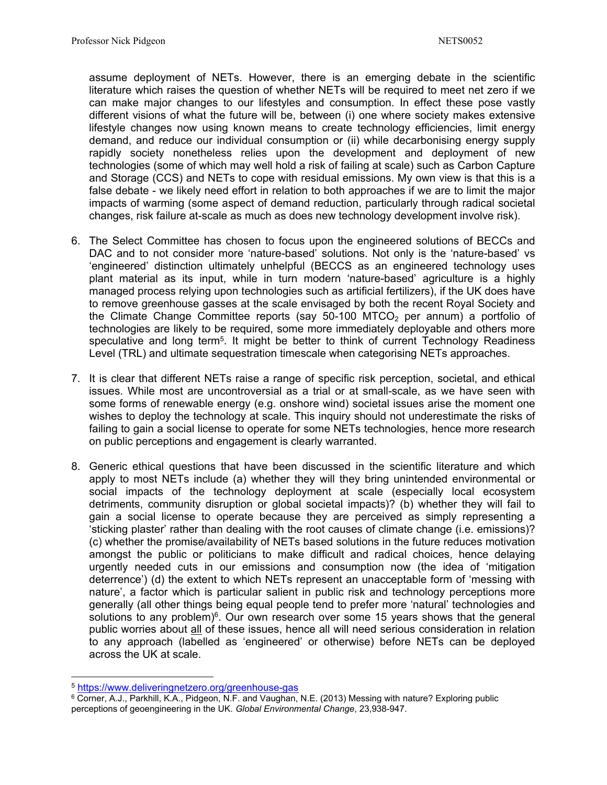assume deployment of NETs. However, there is an emerging debate in the scientific literature which raises the question of whether NETs will be required to meet net zero if we can make major changes to our lifestyles and consumption. In effect these pose vastly different visions of what the future will be, between (i) one where society makes extensive lifestyle changes now using known means to create technology efficiencies, limit energy demand, and reduce our individual consumption or (ii) while decarbonising energy supply rapidly society nonetheless relies upon the development and deployment of new technologies (some of which may well hold a risk of failing at scale) such as Carbon Capture and Storage (CCS) and NETs to cope with residual emissions. My own view is that this is a false debate - we likely need effort in relation to both approaches if we are to limit the major impacts of warming (some aspect of demand reduction, particularly through radical societal changes, risk failure at-scale as much as does new technology development involve risk).

- 6. The Select Committee has chosen to focus upon the engineered solutions of BECCs and DAC and to not consider more 'nature-based' solutions. Not only is the 'nature-based' vs 'engineered' distinction ultimately unhelpful (BECCS as an engineered technology uses plant material as its input, while in turn modern 'nature-based' agriculture is a highly managed process relying upon technologies such as artificial fertilizers), if the UK does have to remove greenhouse gasses at the scale envisaged by both the recent Royal Society and the Climate Change Committee reports (say  $50-100$  MTCO<sub>2</sub> per annum) a portfolio of technologies are likely to be required, some more immediately deployable and others more speculative and long term<sup>5</sup>. It might be better to think of current Technology Readiness Level (TRL) and ultimate sequestration timescale when categorising NETs approaches.
- 7. It is clear that different NETs raise a range of specific risk perception, societal, and ethical issues. While most are uncontroversial as a trial or at small-scale, as we have seen with some forms of renewable energy (e.g. onshore wind) societal issues arise the moment one wishes to deploy the technology at scale. This inquiry should not underestimate the risks of failing to gain a social license to operate for some NETs technologies, hence more research on public perceptions and engagement is clearly warranted.
- 8. Generic ethical questions that have been discussed in the scientific literature and which apply to most NETs include (a) whether they will they bring unintended environmental or social impacts of the technology deployment at scale (especially local ecosystem detriments, community disruption or global societal impacts)? (b) whether they will fail to gain a social license to operate because they are perceived as simply representing a 'sticking plaster' rather than dealing with the root causes of climate change (i.e. emissions)? (c) whether the promise/availability of NETs based solutions in the future reduces motivation amongst the public or politicians to make difficult and radical choices, hence delaying urgently needed cuts in our emissions and consumption now (the idea of 'mitigation deterrence') (d) the extent to which NETs represent an unacceptable form of 'messing with nature', a factor which is particular salient in public risk and technology perceptions more generally (all other things being equal people tend to prefer more 'natural' technologies and solutions to any problem)<sup>6</sup>. Our own research over some 15 years shows that the general public worries about all of these issues, hence all will need serious consideration in relation to any approach (labelled as 'engineered' or otherwise) before NETs can be deployed across the UK at scale.

<sup>5</sup> <https://www.deliveringnetzero.org/greenhouse-gas>

<sup>&</sup>lt;sup>6</sup> Corner, A.J., Parkhill, K.A., Pidgeon, N.F. and Vaughan, N.E. (2013) Messing with nature? Exploring public perceptions of geoengineering in the UK. *Global Environmental Change*, 23,938-947.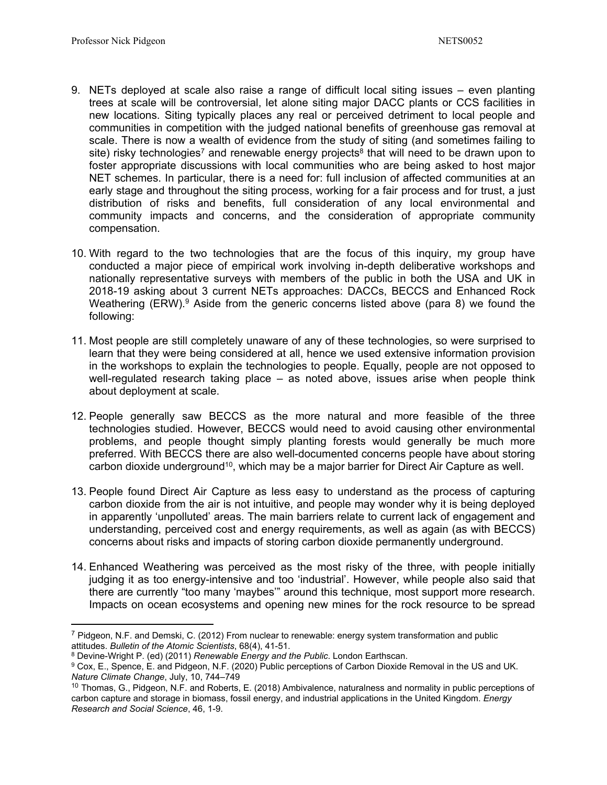- 9. NETs deployed at scale also raise a range of difficult local siting issues even planting trees at scale will be controversial, let alone siting major DACC plants or CCS facilities in new locations. Siting typically places any real or perceived detriment to local people and communities in competition with the judged national benefits of greenhouse gas removal at scale. There is now a wealth of evidence from the study of siting (and sometimes failing to site) risky technologies<sup>7</sup> and renewable energy projects<sup>8</sup> that will need to be drawn upon to foster appropriate discussions with local communities who are being asked to host major NET schemes. In particular, there is a need for: full inclusion of affected communities at an early stage and throughout the siting process, working for a fair process and for trust, a just distribution of risks and benefits, full consideration of any local environmental and community impacts and concerns, and the consideration of appropriate community compensation.
- 10. With regard to the two technologies that are the focus of this inquiry, my group have conducted a major piece of empirical work involving in-depth deliberative workshops and nationally representative surveys with members of the public in both the USA and UK in 2018-19 asking about 3 current NETs approaches: DACCs, BECCS and Enhanced Rock Weathering  $(ERW)$ .<sup>9</sup> Aside from the generic concerns listed above (para 8) we found the following:
- 11. Most people are still completely unaware of any of these technologies, so were surprised to learn that they were being considered at all, hence we used extensive information provision in the workshops to explain the technologies to people. Equally, people are not opposed to well-regulated research taking place – as noted above, issues arise when people think about deployment at scale.
- 12. People generally saw BECCS as the more natural and more feasible of the three technologies studied. However, BECCS would need to avoid causing other environmental problems, and people thought simply planting forests would generally be much more preferred. With BECCS there are also well-documented concerns people have about storing carbon dioxide underground<sup>10</sup>, which may be a major barrier for Direct Air Capture as well.
- 13. People found Direct Air Capture as less easy to understand as the process of capturing carbon dioxide from the air is not intuitive, and people may wonder why it is being deployed in apparently 'unpolluted' areas. The main barriers relate to current lack of engagement and understanding, perceived cost and energy requirements, as well as again (as with BECCS) concerns about risks and impacts of storing carbon dioxide permanently underground.
- 14. Enhanced Weathering was perceived as the most risky of the three, with people initially judging it as too energy-intensive and too 'industrial'. However, while people also said that there are currently "too many 'maybes'" around this technique, most support more research. Impacts on ocean ecosystems and opening new mines for the rock resource to be spread

<sup>7</sup> Pidgeon, N.F. and Demski, C. (2012) From nuclear to renewable: energy system transformation and public attitudes. *Bulletin of the Atomic Scientists*, 68(4), 41-51.

<sup>8</sup> Devine-Wright P. (ed) (2011) *Renewable Energy and the Public*. London Earthscan.

<sup>9</sup> Cox, E., Spence, E. and Pidgeon, N.F. (2020) Public perceptions of Carbon Dioxide Removal in the US and UK. *Nature Climate Change*, July, 10, 744–749

<sup>&</sup>lt;sup>10</sup> Thomas, G., Pidgeon, N.F. and Roberts, E. (2018) Ambivalence, naturalness and normality in public perceptions of carbon capture and storage in biomass, fossil energy, and industrial applications in the United Kingdom. *Energy Research and Social Science*, 46, 1-9.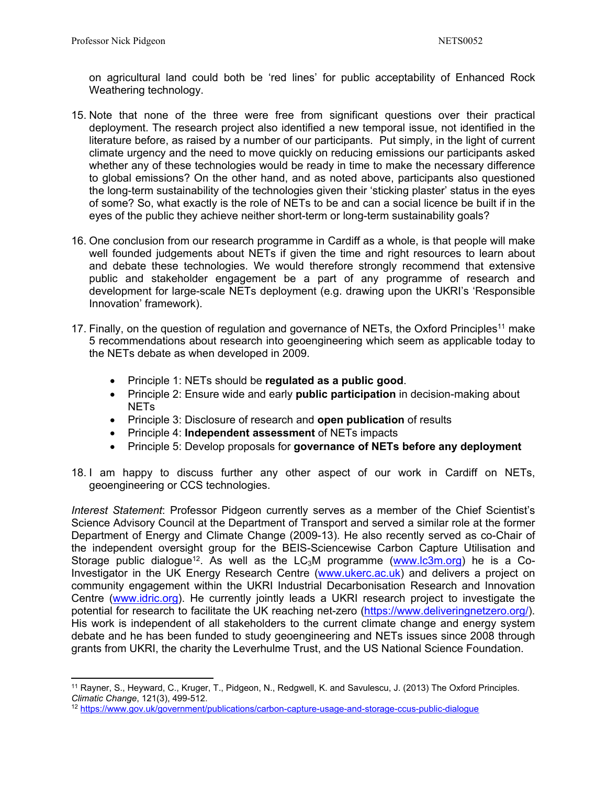on agricultural land could both be 'red lines' for public acceptability of Enhanced Rock Weathering technology.

- 15. Note that none of the three were free from significant questions over their practical deployment. The research project also identified a new temporal issue, not identified in the literature before, as raised by a number of our participants. Put simply, in the light of current climate urgency and the need to move quickly on reducing emissions our participants asked whether any of these technologies would be ready in time to make the necessary difference to global emissions? On the other hand, and as noted above, participants also questioned the long-term sustainability of the technologies given their 'sticking plaster' status in the eyes of some? So, what exactly is the role of NETs to be and can a social licence be built if in the eyes of the public they achieve neither short-term or long-term sustainability goals?
- 16. One conclusion from our research programme in Cardiff as a whole, is that people will make well founded judgements about NETs if given the time and right resources to learn about and debate these technologies. We would therefore strongly recommend that extensive public and stakeholder engagement be a part of any programme of research and development for large-scale NETs deployment (e.g. drawing upon the UKRI's 'Responsible Innovation' framework).
- 17. Finally, on the question of regulation and governance of NETs, the Oxford Principles<sup>11</sup> make 5 recommendations about research into geoengineering which seem as applicable today to the NETs debate as when developed in 2009.
	- Principle 1: NETs should be **regulated as a public good**.
	- Principle 2: Ensure wide and early **public participation** in decision-making about **NET<sub>s</sub>**
	- Principle 3: Disclosure of research and **open publication** of results
	- Principle 4: **Independent assessment** of NETs impacts
	- Principle 5: Develop proposals for **governance of NETs before any deployment**
- 18. I am happy to discuss further any other aspect of our work in Cardiff on NETs, geoengineering or CCS technologies.

*Interest Statement*: Professor Pidgeon currently serves as a member of the Chief Scientist's Science Advisory Council at the Department of Transport and served a similar role at the former Department of Energy and Climate Change (2009-13). He also recently served as co-Chair of the independent oversight group for the BEIS-Sciencewise Carbon Capture Utilisation and Storage public dialogue<sup>12</sup>. As well as the LC<sub>3</sub>M programme ([www.lc3m.org\)](http://www.lc3m.org/) he is a Co-Investigator in the UK Energy Research Centre [\(www.ukerc.ac.uk](http://www.ukerc.ac.uk/)) and delivers a project on community engagement within the UKRI Industrial Decarbonisation Research and Innovation Centre ([www.idric.org\)](http://www.idric.org/). He currently jointly leads a UKRI research project to investigate the potential for research to facilitate the UK reaching net-zero (<https://www.deliveringnetzero.org/>). His work is independent of all stakeholders to the current climate change and energy system debate and he has been funded to study geoengineering and NETs issues since 2008 through grants from UKRI, the charity the Leverhulme Trust, and the US National Science Foundation.

<sup>11</sup> Rayner, S., Heyward, C., Kruger, T., Pidgeon, N., Redgwell, K. and Savulescu, J. (2013) The Oxford Principles. *Climatic Change*, 121(3), 499-512.

<sup>12</sup> <https://www.gov.uk/government/publications/carbon-capture-usage-and-storage-ccus-public-dialogue>